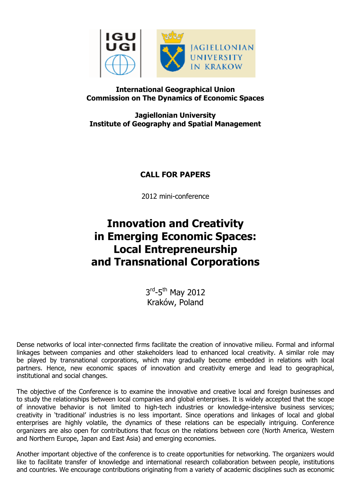

## **International Geographical Union Commission on The Dynamics of Economic Spaces**

**Jagiellonian University Institute of Geography and Spatial Management**

**CALL FOR PAPERS**

2012 mini-conference

## **Innovation and Creativity in Emerging Economic Spaces: Local Entrepreneurship and Transnational Corporations**

3<sup>rd</sup>-5<sup>th</sup> May 2012 Kraków, Poland

Dense networks of local inter-connected firms facilitate the creation of innovative milieu. Formal and informal linkages between companies and other stakeholders lead to enhanced local creativity. A similar role may be played by transnational corporations, which may gradually become embedded in relations with local partners. Hence, new economic spaces of innovation and creativity emerge and lead to geographical, institutional and social changes.

The objective of the Conference is to examine the innovative and creative local and foreign businesses and to study the relationships between local companies and global enterprises. It is widely accepted that the scope of innovative behavior is not limited to high-tech industries or knowledge-intensive business services; creativity in 'traditional' industries is no less important. Since operations and linkages of local and global enterprises are highly volatile, the dynamics of these relations can be especially intriguing. Conference organizers are also open for contributions that focus on the relations between core (North America, Western and Northern Europe, Japan and East Asia) and emerging economies.

Another important objective of the conference is to create opportunities for networking. The organizers would like to facilitate transfer of knowledge and international research collaboration between people, institutions and countries. We encourage contributions originating from a variety of academic disciplines such as economic